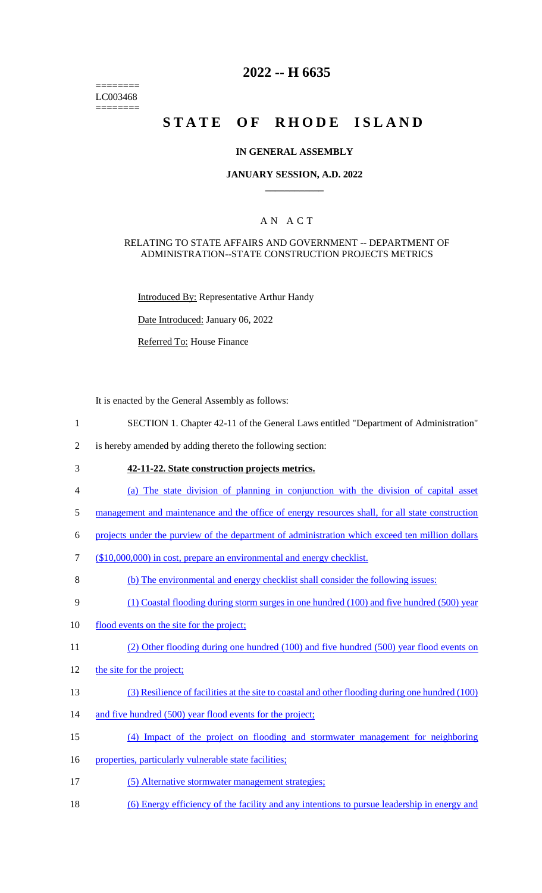======== LC003468 ========

## **2022 -- H 6635**

# STATE OF RHODE ISLAND

### **IN GENERAL ASSEMBLY**

### **JANUARY SESSION, A.D. 2022 \_\_\_\_\_\_\_\_\_\_\_\_**

## A N A C T

### RELATING TO STATE AFFAIRS AND GOVERNMENT -- DEPARTMENT OF ADMINISTRATION--STATE CONSTRUCTION PROJECTS METRICS

Introduced By: Representative Arthur Handy

Date Introduced: January 06, 2022

Referred To: House Finance

It is enacted by the General Assembly as follows:

- 1 SECTION 1. Chapter 42-11 of the General Laws entitled "Department of Administration"
- 2 is hereby amended by adding thereto the following section:
- 

## 3 **42-11-22. State construction projects metrics.**

- 4 (a) The state division of planning in conjunction with the division of capital asset
- 5 management and maintenance and the office of energy resources shall, for all state construction
- 6 projects under the purview of the department of administration which exceed ten million dollars
- 7 (\$10,000,000) in cost, prepare an environmental and energy checklist.
- 8 (b) The environmental and energy checklist shall consider the following issues:
- 9 (1) Coastal flooding during storm surges in one hundred (100) and five hundred (500) year
- 10 flood events on the site for the project;
- 11 (2) Other flooding during one hundred (100) and five hundred (500) year flood events on
- 12 the site for the project;
- 13 (3) Resilience of facilities at the site to coastal and other flooding during one hundred (100)
- 14 and five hundred (500) year flood events for the project;
- 15 (4) Impact of the project on flooding and stormwater management for neighboring
- 16 properties, particularly vulnerable state facilities;
- 17 (5) Alternative stormwater management strategies;
- 18 (6) Energy efficiency of the facility and any intentions to pursue leadership in energy and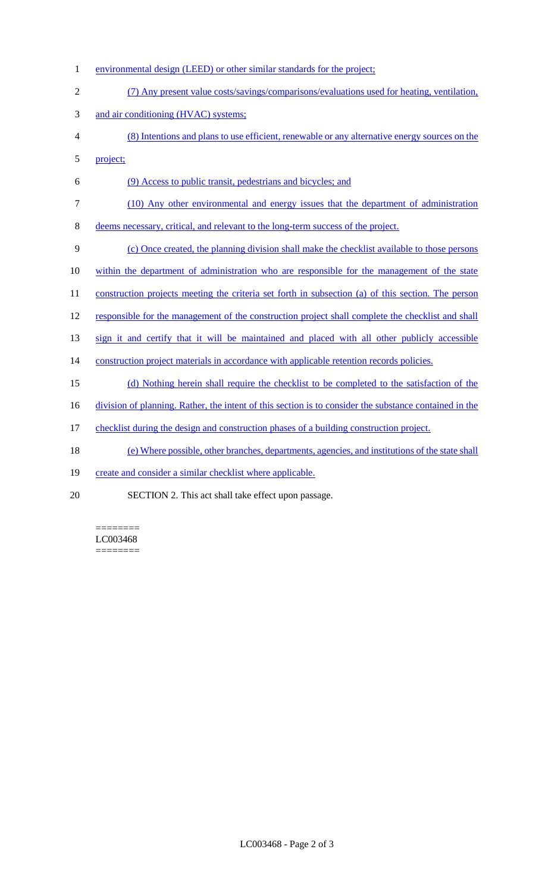- 1 environmental design (LEED) or other similar standards for the project;
- 2 (7) Any present value costs/savings/comparisons/evaluations used for heating, ventilation, 3 and air conditioning (HVAC) systems;
- 4 (8) Intentions and plans to use efficient, renewable or any alternative energy sources on the 5 project;
- 6 (9) Access to public transit, pedestrians and bicycles; and
- 7 (10) Any other environmental and energy issues that the department of administration

8 deems necessary, critical, and relevant to the long-term success of the project.

9 (c) Once created, the planning division shall make the checklist available to those persons

- 10 within the department of administration who are responsible for the management of the state
- 11 construction projects meeting the criteria set forth in subsection (a) of this section. The person
- 12 responsible for the management of the construction project shall complete the checklist and shall

13 sign it and certify that it will be maintained and placed with all other publicly accessible

- 14 construction project materials in accordance with applicable retention records policies.
- 15 (d) Nothing herein shall require the checklist to be completed to the satisfaction of the
- 16 division of planning. Rather, the intent of this section is to consider the substance contained in the
- 17 checklist during the design and construction phases of a building construction project.
- 18 (e) Where possible, other branches, departments, agencies, and institutions of the state shall
- 19 create and consider a similar checklist where applicable.
- 20 SECTION 2. This act shall take effect upon passage.

======== LC003468 ========